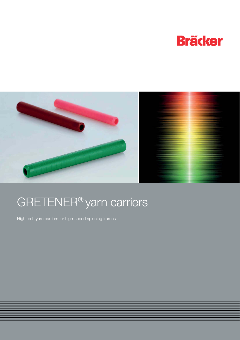



# GRETENER® yarn carriers

High tech yarn carriers for high-speed spinning frames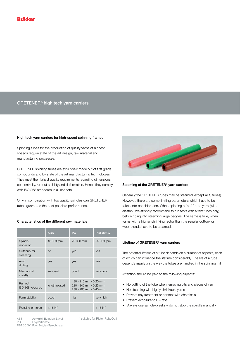# **GRETENER® high tech yarn carriers**

### **High tech yarn carriers for high-speed spinning frames**

Spinning tubes for the production of quality yarns at highest speeds require state of the art design, raw material and manufacturing processes.

GRETENER spinning tubes are exclusively made out of first grade compounds and by state of the art manufacturing technologies. They meet the highest quality requirements regarding dimensions, concentricity, run out stability and deformation. Hence they comply with ISO 368 standards in all aspects.

Only in combination with top quality spindles can GRETENER tubes guarantee the best possible performance.

|  | Characteristics of the different raw materials |
|--|------------------------------------------------|
|--|------------------------------------------------|

|                              | <b>ABS</b>     | PC                                                                         | <b>PBT 30 GV</b> |  |  |
|------------------------------|----------------|----------------------------------------------------------------------------|------------------|--|--|
| Spindle<br>revolution        | 18.000 rpm     | 20.000 rpm                                                                 | 25.000 rpm       |  |  |
| Suitability for<br>steaming  | no             | yes                                                                        | yes              |  |  |
| Auto<br>doffing              | yes            | yes                                                                        | yes              |  |  |
| Mechanical<br>stability      | sufficient     | good                                                                       | very good        |  |  |
| Run out<br>ISO 368 tolerance | length related | 180 - 210 mm / 0,20 mm<br>220 - 240 mm / 0,25 mm<br>230 - 280 mm / 0,40 mm |                  |  |  |
| Form stability               | good           | high                                                                       | very high        |  |  |
| Pressing-on-force            | $< 15 N^{*}$   |                                                                            | $< 15 N^{*}$     |  |  |



#### **Steaming of the GRETENER® yarn carriers**

Generally the GRETENER tubes may be steamed (except ABS tubes). However, there are some limiting parameters which have to be taken into consideration. When spinning a "soft" core yarn (with elastan), we strongly recommend to run tests with a few tubes only, before going into steaming large badges. The same is true, when yarns with a higher shrinking factor than the regular cotton- or wool-blends have to be steamed.

## **Lifetime of GRETENER® yarn carriers**

The potential lifetime of a tube depends on a number of aspects, each of which can influence the lifetime considerably. The life of a tube depends mainly on the way the tubes are handled in the spinning mill.

Attention should be paid to the following aspects:

- No cutting of the tube when removing bits and pieces of yarn
- No steaming with highly shrinkable yarns
- Prevent any treatment or contact with chemicals
- Prevent exposure to UV-rays
- Always use spindle-breaks do not stop the spindle manually

ABS Acrylnitril-Butadien-Styrol  $PC$ Polycarbonate PBT 30 GV Poly-Butylen-Terephthalat \* suitable for Rieter RoboDoff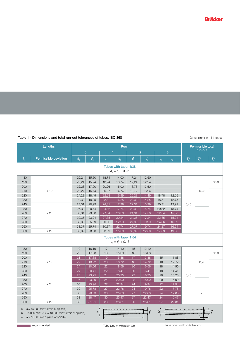# Table 1 - Dimensions and total run-out tolerances of tubes, ISO 368

## Dimensions in millimetres

|                                                                                                                                                                                                                                                                                                                                        | Lengths                      | <b>Row</b>     |         |            |                       |                             | Permissible total |         |         |                     |                     |                     |
|----------------------------------------------------------------------------------------------------------------------------------------------------------------------------------------------------------------------------------------------------------------------------------------------------------------------------------------|------------------------------|----------------|---------|------------|-----------------------|-----------------------------|-------------------|---------|---------|---------------------|---------------------|---------------------|
|                                                                                                                                                                                                                                                                                                                                        |                              | $\overline{0}$ |         | г          |                       | $\overline{2}$              |                   | 3       |         | run-out             |                     |                     |
| $l_{1}$                                                                                                                                                                                                                                                                                                                                | <b>Permissible deviation</b> | $d_{\tau}$     | $d_{2}$ | $d_{\tau}$ | $d_{2}$               | $d_{\scriptscriptstyle{1}}$ | $d_{2}$           | $d_{1}$ | $d_{2}$ | $T_{\rm r}^{\rm a}$ | $T_{\rm r}^{\rm b}$ | $T_{\rm r}^{\rm c}$ |
|                                                                                                                                                                                                                                                                                                                                        | Tubes with taper 1:38        |                |         |            |                       |                             |                   |         |         |                     |                     |                     |
| $d_3 = d_2 + 0.26$                                                                                                                                                                                                                                                                                                                     |                              |                |         |            |                       |                             |                   |         |         |                     |                     |                     |
| 180                                                                                                                                                                                                                                                                                                                                    |                              | 20,24          | 15,50   | 18,74      | 14,00                 | 17,24                       | 12,50             |         |         |                     |                     |                     |
| 190                                                                                                                                                                                                                                                                                                                                    |                              | 20,24          | 15,24   | 18,74      | 13,74                 | 17,24                       | 12,24             |         |         |                     |                     | 0,20                |
| 200                                                                                                                                                                                                                                                                                                                                    |                              | 22,26          | 17,00   | 20,26      | 15,00                 | 18,76                       | 13,50             |         |         |                     |                     |                     |
| 210                                                                                                                                                                                                                                                                                                                                    | ± 1,5                        | 22,27          | 16,74   | 20,27      | 14,74                 | 18,77                       | 13,24             |         |         |                     | 0,25                |                     |
| 220                                                                                                                                                                                                                                                                                                                                    |                              | 24,28          | 18,49   | 22,28      | 16,49                 | 20,28                       | 14,49             | 18,78   | 12,99   |                     |                     |                     |
| 230                                                                                                                                                                                                                                                                                                                                    |                              | 24,30          | 18,25   | 22,3       | 16,25                 | 20,30                       | 14,25             | 18,8    | 12,75   |                     |                     |                     |
| 240                                                                                                                                                                                                                                                                                                                                    |                              | 27,31          | 20,99   | 24,31      | 17,99                 | 22,31                       | 15,99             | 20,31   | 13,99   | 0,40                |                     |                     |
| 250                                                                                                                                                                                                                                                                                                                                    |                              | 27,32          | 20,74   | 24,32      | 17,74                 | 22,32                       | 15,74             | 20,32   | 13,74   |                     |                     |                     |
| 260                                                                                                                                                                                                                                                                                                                                    | ± 2                          | 30,34          | 23,50   | 27,34      | 20,50                 | 24,34                       | 17,50             | 22,34   | 15,50   |                     |                     |                     |
| 270                                                                                                                                                                                                                                                                                                                                    |                              | 30,35          | 23,24   | 27,35      | 20,24                 | 24,35                       | 17,24             | 22,35   | 15,24   |                     |                     |                     |
| 280                                                                                                                                                                                                                                                                                                                                    |                              | 33,36          | 25,99   | 30,36      | 22,99                 | 27,36                       | 19,99             | 24,36   | 16,99   |                     |                     |                     |
| 290                                                                                                                                                                                                                                                                                                                                    |                              | 33,37          | 25,74   | 30,37      | 22,74                 | 27,37                       | 19,74             | 24,27   | 16,64   |                     |                     |                     |
| 300                                                                                                                                                                                                                                                                                                                                    | ± 2.5                        | 36,39          | 28,50   | 33,39      | 25,50                 | 30,39                       | 22,50             | 27,39   | 19,50   |                     |                     |                     |
|                                                                                                                                                                                                                                                                                                                                        |                              |                |         |            | Tubes with taper 1:64 |                             |                   |         |         |                     |                     |                     |
|                                                                                                                                                                                                                                                                                                                                        |                              |                |         |            | $d_3 = d_2 + 0,16$    |                             |                   |         |         |                     |                     |                     |
| 180                                                                                                                                                                                                                                                                                                                                    |                              | 19             | 16,19   | 17         | 14,19                 | 15                          | 12,19             |         |         |                     |                     |                     |
| 190                                                                                                                                                                                                                                                                                                                                    |                              | 20             | 17,03   | 18         | 15,03                 | 16                          | 13,03             |         |         |                     |                     | 0,20                |
| 200                                                                                                                                                                                                                                                                                                                                    |                              | 21             | 17,88   | 19         | 15,88                 | 17                          | 13,88             | 15      | 11,88   |                     |                     |                     |
| 210                                                                                                                                                                                                                                                                                                                                    | ± 1,5                        | 22             | 18,72   | 20         | 16,72                 | 18                          | 14,72             | 16      | 12,72   |                     | 0,25                |                     |
| 220                                                                                                                                                                                                                                                                                                                                    |                              | 24             | 20,56   | 22         | 18,56                 | 20                          | 16,56             | 18      | 14,56   |                     |                     |                     |
| 230                                                                                                                                                                                                                                                                                                                                    |                              | 24             | 20,41   | 22         | 18,41                 | 20                          | 16,41             | 18      | 14,41   |                     |                     |                     |
| 240                                                                                                                                                                                                                                                                                                                                    |                              | 27             | 23,25   | 24         | 20,25                 | 22                          | 18,25             | 20      | 16,25   | 0,40                |                     |                     |
| 250                                                                                                                                                                                                                                                                                                                                    |                              | 27             | 23,09   | 24         | 20,09                 | 22                          | 18,09             | 20      | 16,09   |                     |                     |                     |
| 260                                                                                                                                                                                                                                                                                                                                    | ± 2                          | 30             | 25,94   | 27         | 22,94                 | 24                          | 19,94             | 22      | 17,94   |                     |                     |                     |
| 270                                                                                                                                                                                                                                                                                                                                    |                              | 30             | 25,78   | 27         | 22,78                 | 24                          | 19,78             | 22      | 17,78   |                     |                     |                     |
| 280                                                                                                                                                                                                                                                                                                                                    |                              | 33             | 28,63   | 30         | 25,63                 | 27                          | 22,63             | 24      | 19,63   |                     |                     |                     |
| 290                                                                                                                                                                                                                                                                                                                                    |                              | 33             | 28,47   | 30         | 25,47                 | 27                          | 22,47             | 24      | 19,47   |                     |                     |                     |
| 300                                                                                                                                                                                                                                                                                                                                    | ± 2.5                        | 36             | 31,31   | 33         | 28,31                 | 30                          | 25,31             | 27      | 22,31   |                     |                     |                     |
| $n \leq 15000$ min <sup>-1</sup> (r/min of spindle)<br>a<br>$\phi d_2$<br>$\phi d_{1}$<br>$\phi_{\mathcal{A}_1}$<br>$\phi d_3$<br>15 000 min <sup>-1</sup> < $n \le 18$ 000 min <sup>-1</sup> (r/min of spindle)<br>b<br>10 <sup>°</sup><br>l <sub>1</sub><br>$n > 18000$ min <sup>-1</sup> (r/min of spindle)<br>$\mathbf C$<br>$l_1$ |                              |                |         |            |                       |                             |                   |         |         |                     |                     |                     |

**Example 2016** recommended

Tube type A with plain top

Tube type B with rolled-in top